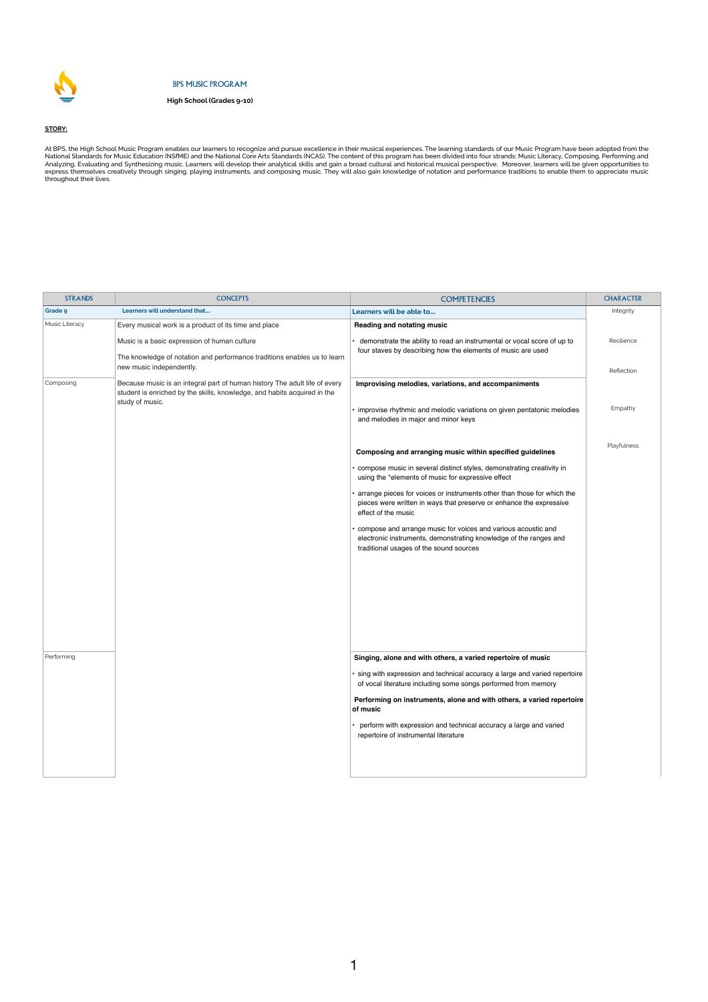| <b>STRANDS</b> | <b>CONCEPTS</b>                                                                                                                                                           | <b>COMPETENCIES</b>                                                                                                                                                                        | <b>CHARACTER</b>         |
|----------------|---------------------------------------------------------------------------------------------------------------------------------------------------------------------------|--------------------------------------------------------------------------------------------------------------------------------------------------------------------------------------------|--------------------------|
| Grade 9        | Learners will understand that                                                                                                                                             | Learners will be able to                                                                                                                                                                   | Integrity                |
| Music Literacy | Every musical work is a product of its time and place                                                                                                                     | <b>Reading and notating music</b>                                                                                                                                                          |                          |
|                | Music is a basic expression of human culture<br>The knowledge of notation and performance traditions enables us to learn<br>new music independently.                      | demonstrate the ability to read an instrumental or vocal score of up to<br>four staves by describing how the elements of music are used                                                    | Resilience<br>Reflection |
| Composing      | Because music is an integral part of human history The adult life of every<br>student is enriched by the skills, knowledge, and habits acquired in the<br>study of music. | Improvising melodies, variations, and accompaniments<br>• improvise rhythmic and melodic variations on given pentatonic melodies<br>and melodies in major and minor keys                   | Empathy                  |
|                |                                                                                                                                                                           | Composing and arranging music within specified guidelines<br>• compose music in several distinct styles, demonstrating creativity in<br>using the *elements of music for expressive effect | Playfulness              |

• arrange pieces for voices or instruments other than those for which the pieces were written in ways that preserve or enhance the expressive effect of the music

• compose and arrange music for voices and various acoustic and electronic instruments, demonstrating knowledge of the ranges and traditional usages of the sound sources

Performing **Singing, alone and with others, a varied repertoire of music Singing, alone and with others, a varied repertoire of music** 

At BPS, the High School Music Program enables our learners to recognize and pursue excellence in their musical experiences. The learning standards of our Music Program have been adopted from the National Standards for Music Education (NSfME) and the National Core Arts Standards (NCAS). The content of this program has been divided into four strands: Music Literacy, Composing, Performing and Analyzing, Evaluating and Synthesizing music. Learners will develop their analytical skills and gain a broad cultural and historical musical perspective. Moreover, learners will be given opportunities to express themselves creatively through singing, playing instruments, and composing music. They will also gain knowledge of notation and performance traditions to enable them to appreciate music throughout their lives.

> • sing with expression and technical accuracy a large and varied repertoire of vocal literature including some songs performed from memory

> **Performing on instruments, alone and with others, a varied repertoire of music**

• perform with expression and technical accuracy a large and varied repertoire of instrumental literature





## BPS MUSIC PROGRAM

**High School (Grades 9-10)**

**STORY:**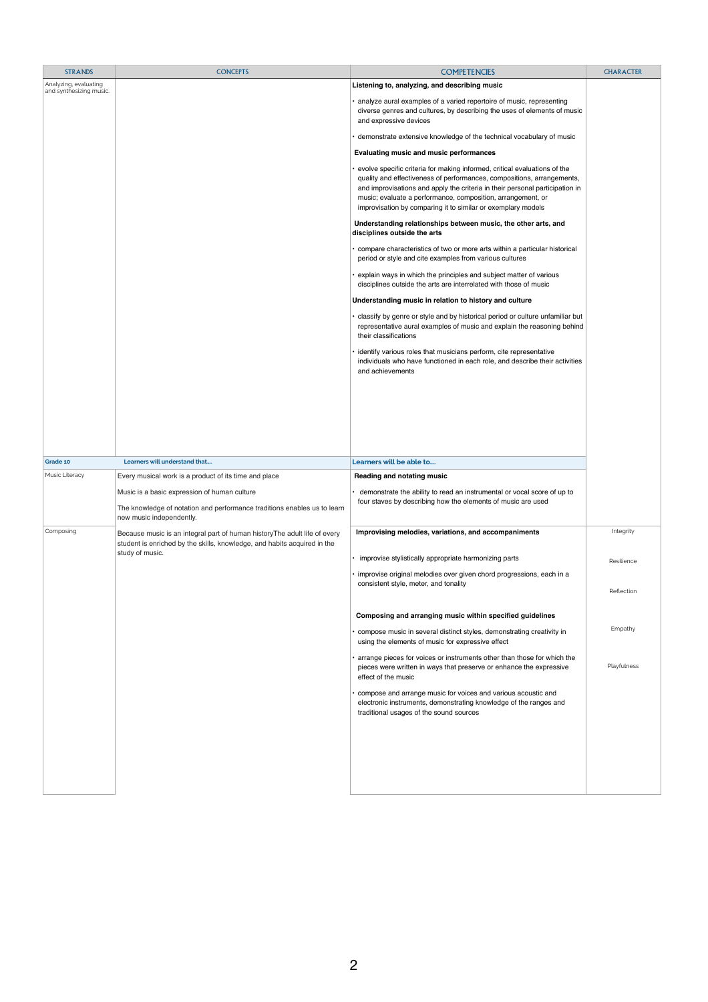| <b>STRANDS</b>                                   | <b>CONCEPTS</b>                                                                                                                                        | <b>COMPETENCIES</b>                                                                                                                                                                                                                                                                                                                                                  | <b>CHARACTER</b> |
|--------------------------------------------------|--------------------------------------------------------------------------------------------------------------------------------------------------------|----------------------------------------------------------------------------------------------------------------------------------------------------------------------------------------------------------------------------------------------------------------------------------------------------------------------------------------------------------------------|------------------|
| Analyzing, evaluating<br>and synthesizing music. |                                                                                                                                                        | Listening to, analyzing, and describing music                                                                                                                                                                                                                                                                                                                        |                  |
|                                                  |                                                                                                                                                        | • analyze aural examples of a varied repertoire of music, representing<br>diverse genres and cultures, by describing the uses of elements of music<br>and expressive devices                                                                                                                                                                                         |                  |
|                                                  |                                                                                                                                                        | • demonstrate extensive knowledge of the technical vocabulary of music                                                                                                                                                                                                                                                                                               |                  |
|                                                  |                                                                                                                                                        | <b>Evaluating music and music performances</b>                                                                                                                                                                                                                                                                                                                       |                  |
|                                                  |                                                                                                                                                        | • evolve specific criteria for making informed, critical evaluations of the<br>quality and effectiveness of performances, compositions, arrangements,<br>and improvisations and apply the criteria in their personal participation in<br>music; evaluate a performance, composition, arrangement, or<br>improvisation by comparing it to similar or exemplary models |                  |
|                                                  |                                                                                                                                                        | Understanding relationships between music, the other arts, and<br>disciplines outside the arts                                                                                                                                                                                                                                                                       |                  |
|                                                  |                                                                                                                                                        | • compare characteristics of two or more arts within a particular historical<br>period or style and cite examples from various cultures                                                                                                                                                                                                                              |                  |
|                                                  |                                                                                                                                                        | • explain ways in which the principles and subject matter of various<br>disciplines outside the arts are interrelated with those of music                                                                                                                                                                                                                            |                  |
|                                                  |                                                                                                                                                        | Understanding music in relation to history and culture                                                                                                                                                                                                                                                                                                               |                  |
|                                                  |                                                                                                                                                        | • classify by genre or style and by historical period or culture unfamiliar but<br>representative aural examples of music and explain the reasoning behind<br>their classifications                                                                                                                                                                                  |                  |
|                                                  |                                                                                                                                                        | · identify various roles that musicians perform, cite representative<br>individuals who have functioned in each role, and describe their activities<br>and achievements                                                                                                                                                                                              |                  |
|                                                  |                                                                                                                                                        |                                                                                                                                                                                                                                                                                                                                                                      |                  |
| Grade 10<br>Music Literacy                       | Learners will understand that<br>Every musical work is a product of its time and place                                                                 | Learners will be able to<br><b>Reading and notating music</b>                                                                                                                                                                                                                                                                                                        |                  |
|                                                  | Music is a basic expression of human culture<br>The knowledge of notation and performance traditions enables us to learn<br>new music independently.   | demonstrate the ability to read an instrumental or vocal score of up to<br>four staves by describing how the elements of music are used                                                                                                                                                                                                                              |                  |
| Composing                                        | Because music is an integral part of human history The adult life of every<br>student is enriched by the skills, knowledge, and habits acquired in the | Improvising melodies, variations, and accompaniments                                                                                                                                                                                                                                                                                                                 | <b>Integrity</b> |
|                                                  | study of music.                                                                                                                                        | • improvise stylistically appropriate harmonizing parts                                                                                                                                                                                                                                                                                                              | Resilience       |
|                                                  |                                                                                                                                                        | · improvise original melodies over given chord progressions, each in a                                                                                                                                                                                                                                                                                               |                  |
|                                                  |                                                                                                                                                        | consistent style, meter, and tonality                                                                                                                                                                                                                                                                                                                                | Reflection       |
|                                                  |                                                                                                                                                        | Composing and arranging music within specified guidelines                                                                                                                                                                                                                                                                                                            |                  |
|                                                  |                                                                                                                                                        | • compose music in several distinct styles, demonstrating creativity in<br>using the elements of music for expressive effect                                                                                                                                                                                                                                         | Empathy          |
|                                                  |                                                                                                                                                        | • arrange pieces for voices or instruments other than those for which the<br>pieces were written in ways that preserve or enhance the expressive<br>effect of the music                                                                                                                                                                                              | Playfulness      |
|                                                  |                                                                                                                                                        | • compose and arrange music for voices and various acoustic and<br>electronic instruments, demonstrating knowledge of the ranges and<br>traditional usages of the sound sources                                                                                                                                                                                      |                  |
|                                                  |                                                                                                                                                        |                                                                                                                                                                                                                                                                                                                                                                      |                  |
|                                                  |                                                                                                                                                        |                                                                                                                                                                                                                                                                                                                                                                      |                  |
|                                                  |                                                                                                                                                        |                                                                                                                                                                                                                                                                                                                                                                      |                  |

2